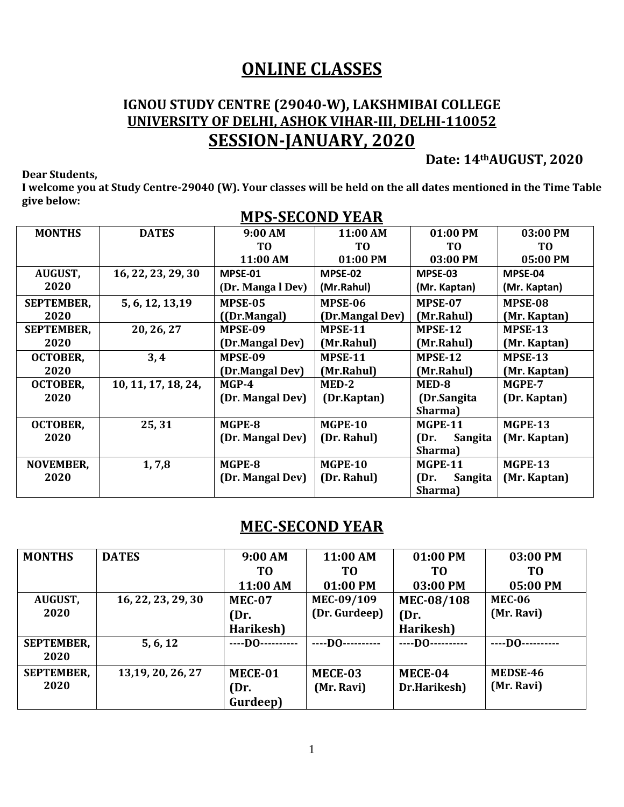### **ONLINE CLASSES**

#### **IGNOU STUDY CENTRE (29040-W), LAKSHMIBAI COLLEGE UNIVERSITY OF DELHI, ASHOK VIHAR-III, DELHI-110052 SESSION-JANUARY, 2020**

**Dear Students,**

**Date: 14thAUGUST, 2020**

**I welcome you at Study Centre-29040 (W). Your classes will be held on the all dates mentioned in the Time Table give below:**

| <b>MONTHS</b>     | <b>DATES</b>        | 9:00 AM           | 11:00 AM        | 01:00 PM        | 03:00 PM       |
|-------------------|---------------------|-------------------|-----------------|-----------------|----------------|
|                   |                     | T <sub>0</sub>    | T <sub>0</sub>  | T <sub>0</sub>  | T <sub>0</sub> |
|                   |                     | 11:00 AM          | 01:00 PM        | 03:00 PM        | 05:00 PM       |
| <b>AUGUST,</b>    | 16, 22, 23, 29, 30  | MPSE-01           | MPSE-02         | MPSE-03         | MPSE-04        |
| 2020              |                     | (Dr. Manga l Dev) | (Mr.Rahul)      | (Mr. Kaptan)    | (Mr. Kaptan)   |
| <b>SEPTEMBER,</b> | 5, 6, 12, 13, 19    | MPSE-05           | MPSE-06         | MPSE-07         | MPSE-08        |
| 2020              |                     | ((Dr.Mangal)      | (Dr.Mangal Dev) | (Mr.Rahul)      | (Mr. Kaptan)   |
| <b>SEPTEMBER,</b> | 20, 26, 27          | MPSE-09           | <b>MPSE-11</b>  | MPSE-12         | MPSE-13        |
| 2020              |                     | (Dr.Mangal Dev)   | (Mr.Rahul)      | (Mr.Rahul)      | (Mr. Kaptan)   |
| <b>OCTOBER,</b>   | 3,4                 | MPSE-09           | MPSE-11         | MPSE-12         | MPSE-13        |
| 2020              |                     | (Dr.Mangal Dev)   | (Mr.Rahul)      | (Mr.Rahul)      | (Mr. Kaptan)   |
| <b>OCTOBER,</b>   | 10, 11, 17, 18, 24, | $MGP-4$           | MED-2           | MED-8           | MGPE-7         |
| 2020              |                     | (Dr. Mangal Dev)  | (Dr.Kaptan)     | (Dr.Sangita     | (Dr. Kaptan)   |
|                   |                     |                   |                 | Sharma)         |                |
| <b>OCTOBER,</b>   | 25,31               | MGPE-8            | <b>MGPE-10</b>  | <b>MGPE-11</b>  | <b>MGPE-13</b> |
| 2020              |                     | (Dr. Mangal Dev)  | (Dr. Rahul)     | (Dr.<br>Sangita | (Mr. Kaptan)   |
|                   |                     |                   |                 | Sharma)         |                |
| <b>NOVEMBER,</b>  | 1,7,8               | MGPE-8            | <b>MGPE-10</b>  | MGPE-11         | <b>MGPE-13</b> |
| 2020              |                     | (Dr. Mangal Dev)  | (Dr. Rahul)     | (Dr.<br>Sangita | (Mr. Kaptan)   |
|                   |                     |                   |                 | Sharma)         |                |

#### **MPS-SECOND YEAR**

#### **MEC-SECOND YEAR**

| <b>MONTHS</b>     | <b>DATES</b>       | 9:00 AM        | 11:00 AM         | 01:00 PM       | 03:00 PM       |
|-------------------|--------------------|----------------|------------------|----------------|----------------|
|                   |                    | ТO             | T0               | T0             | T <sub>0</sub> |
|                   |                    | 11:00 AM       | 01:00 PM         | 03:00 PM       | 05:00 PM       |
| <b>AUGUST,</b>    | 16, 22, 23, 29, 30 | <b>MEC-07</b>  | MEC-09/109       | MEC-08/108     | <b>MEC-06</b>  |
| 2020              |                    | (Dr.           | (Dr. Gurdeep)    | (Dr.           | (Mr. Ravi)     |
|                   |                    | Harikesh)      |                  | Harikesh)      |                |
| <b>SEPTEMBER,</b> | 5, 6, 12           | $---$ DO $---$ | ----DO---------- | $---$ DO $---$ | $---$ DO $---$ |
| 2020              |                    |                |                  |                |                |
| <b>SEPTEMBER,</b> | 13, 19, 20, 26, 27 | MECE-01        | MECE-03          | MECE-04        | MEDSE-46       |
| 2020              |                    | (Dr.           | (Mr. Ravi)       | Dr.Harikesh)   | (Mr. Ravi)     |
|                   |                    | Gurdeep)       |                  |                |                |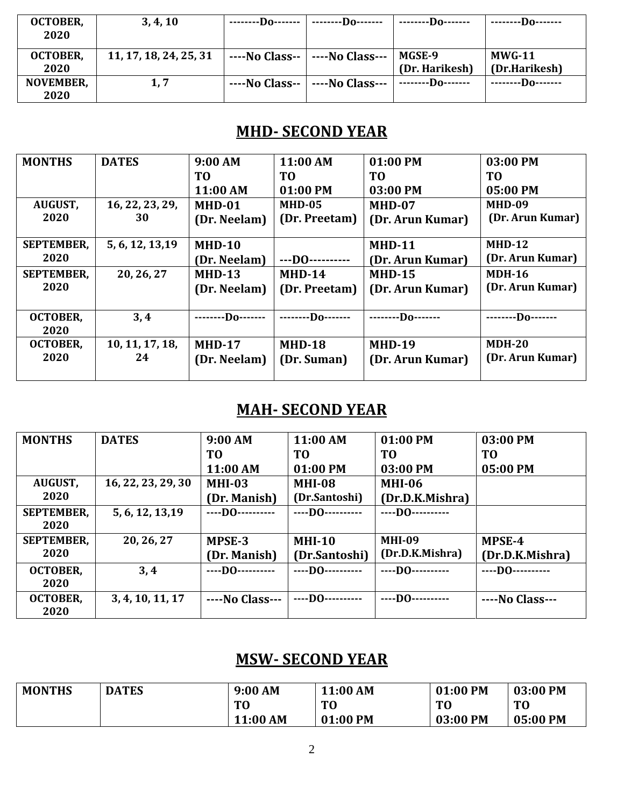| <b>OCTOBER,</b><br>2020 | 3, 4, 10               | --------Do-------- | --------Do-------                | $---D0---$               | --------Do-------         |
|-------------------------|------------------------|--------------------|----------------------------------|--------------------------|---------------------------|
| <b>OCTOBER,</b><br>2020 | 11, 17, 18, 24, 25, 31 |                    | ----No Class--   ----No Class--- | MGSE-9<br>(Dr. Harikesh) | $MWG-11$<br>(Dr.Harikesh) |
| NOVEMBER,<br>2020       | 1, 7                   | $---No Class--$    | ----No Class---                  | $---D0---$               | $---D0---$                |

#### **MHD- SECOND YEAR**

| <b>MONTHS</b>     | <b>DATES</b>     | 9:00 AM       | 11:00 AM                       | 01:00 PM         | 03:00 PM         |
|-------------------|------------------|---------------|--------------------------------|------------------|------------------|
|                   |                  | TO            | T <sub>0</sub>                 | ТO               | T <sub>0</sub>   |
|                   |                  | 11:00 AM      | 01:00 PM                       | 03:00 PM         | 05:00 PM         |
| <b>AUGUST,</b>    | 16, 22, 23, 29,  | MHD-01        | $MHD-05$                       | MHD-07           | <b>MHD-09</b>    |
| 2020              | 30               | (Dr. Neelam)  | (Dr. Preetam)                  | (Dr. Arun Kumar) | (Dr. Arun Kumar) |
|                   |                  |               |                                |                  |                  |
| <b>SEPTEMBER,</b> | 5, 6, 12, 13, 19 | $MHD-10$      |                                | <b>MHD-11</b>    | $MHD-12$         |
| 2020              |                  | (Dr. Neelam)  | $$ DO………                       | (Dr. Arun Kumar) | (Dr. Arun Kumar) |
| <b>SEPTEMBER,</b> | 20, 26, 27       | <b>MHD-13</b> | $MHD-14$                       | <b>MHD-15</b>    | <b>MDH-16</b>    |
| 2020              |                  | (Dr. Neelam)  | (Dr. Preetam)                  | (Dr. Arun Kumar) | (Dr. Arun Kumar) |
|                   |                  |               |                                |                  |                  |
| <b>OCTOBER,</b>   | 3,4              |               | -Do-------   --------Do------- | $---D0---$       | $---D0---$       |
| 2020              |                  |               |                                |                  |                  |
| <b>OCTOBER,</b>   | 10, 11, 17, 18,  | <b>MHD-17</b> | <b>MHD-18</b>                  | <b>MHD-19</b>    | $MDH-20$         |
| 2020              | 24               | (Dr. Neelam)  | (Dr. Suman)                    | (Dr. Arun Kumar) | (Dr. Arun Kumar) |
|                   |                  |               |                                |                  |                  |

# **MAH- SECOND YEAR**

| <b>MONTHS</b>     | <b>DATES</b>       | 9:00 AM         | 11:00 AM       | 01:00 PM            | 03:00 PM        |
|-------------------|--------------------|-----------------|----------------|---------------------|-----------------|
|                   |                    | T <sub>0</sub>  | T <sub>0</sub> | T <sub>0</sub>      | T <sub>0</sub>  |
|                   |                    | 11:00 AM        | 01:00 PM       | 03:00 PM            | 05:00 PM        |
| <b>AUGUST,</b>    | 16, 22, 23, 29, 30 | <b>MHI-03</b>   | <b>MHI-08</b>  | <b>MHI-06</b>       |                 |
| 2020              |                    | (Dr. Manish)    | (Dr.Santoshi)  | (Dr.D.K.Mishra)     |                 |
| <b>SEPTEMBER,</b> | 5, 6, 12, 13, 19   | $---$ DO $---$  | $---$ DO $---$ | $---$ DO $---$      |                 |
| 2020              |                    |                 |                |                     |                 |
| <b>SEPTEMBER,</b> | 20, 26, 27         | MPSE-3          | $MHI-10$       | <b>MHI-09</b>       | MPSE-4          |
| 2020              |                    | (Dr. Manish)    | (Dr.Santoshi)  | (Dr.D.K.Mishra)     | (Dr.D.K.Mishra) |
| <b>OCTOBER,</b>   | 3,4                | $---$ DO $---$  | $---$ DO $---$ | $---$ DO $---$      |                 |
| 2020              |                    |                 |                |                     |                 |
| <b>OCTOBER,</b>   | 3, 4, 10, 11, 17   | ----No Class--- | $---$ DO $---$ | $---$ DO ---------- | ----No Class--- |
| 2020              |                    |                 |                |                     |                 |

#### **MSW- SECOND YEAR**

| <b>MONTHS</b> | <b>DATES</b> | 9:00 AM        | 11:00 AM       | 01:00 PM       | 03:00 PM       |
|---------------|--------------|----------------|----------------|----------------|----------------|
|               |              | T <sub>0</sub> | T <sub>0</sub> | T <sub>0</sub> | T <sub>0</sub> |
|               |              | 11:00 AM       | 01:00 PM       | 03:00 PM       | 05:00 PM       |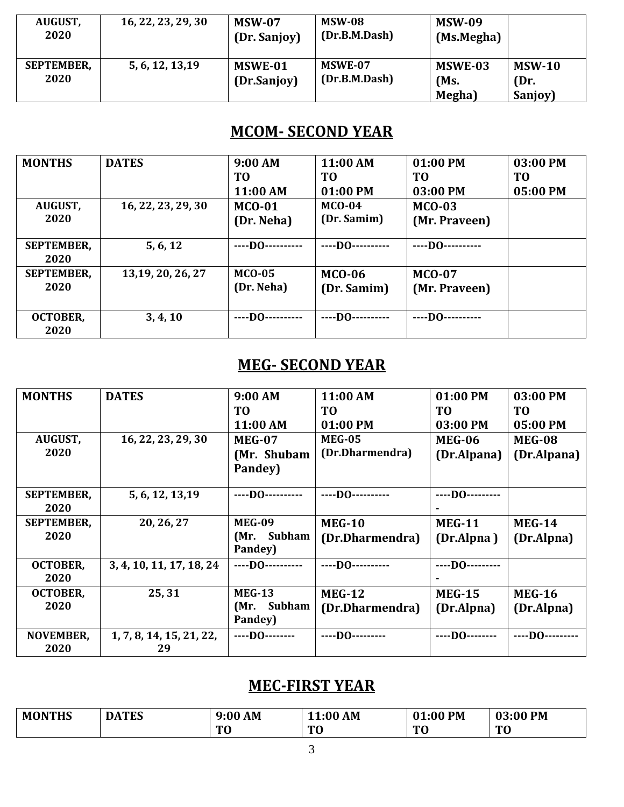| <b>AUGUST,</b><br>2020    | 16, 22, 23, 29, 30 | <b>MSW-07</b><br>(Dr. Sanjoy) | <b>MSW-08</b><br>(Dr.B.M.Dash)  | <b>MSW-09</b><br>(Ms.Megha) |                             |
|---------------------------|--------------------|-------------------------------|---------------------------------|-----------------------------|-----------------------------|
| <b>SEPTEMBER,</b><br>2020 | 5, 6, 12, 13, 19   | MSWE-01<br>(Dr.Sanjoy)        | <b>MSWE-07</b><br>(Dr.B.M.Dash) | MSWE-03<br>(Ms.<br>Megha)   | $MSW-10$<br>(Dr.<br>Sanjoy) |

#### **MCOM- SECOND YEAR**

| <b>MONTHS</b><br>AUGUST,<br>2020 | <b>DATES</b><br>16, 22, 23, 29, 30 | 9:00 AM<br>T <sub>0</sub><br>11:00 AM<br>$MCO-01$<br>(Dr. Neha) | 11:00 AM<br>TO<br>01:00 PM<br>$MCO-04$<br>(Dr. Samim) | 01:00 PM<br>TO<br>03:00 PM<br><b>MCO-03</b><br>(Mr. Praveen) | 03:00 PM<br><b>TO</b><br>05:00 PM |
|----------------------------------|------------------------------------|-----------------------------------------------------------------|-------------------------------------------------------|--------------------------------------------------------------|-----------------------------------|
| <b>SEPTEMBER,</b><br>2020        | 5, 6, 12                           | $---$ DO $---$                                                  | $---$ DO $---$                                        | $---$ DO $---$                                               |                                   |
| <b>SEPTEMBER,</b><br>2020        | 13, 19, 20, 26, 27                 | $MCO-0.5$<br>(Dr. Neha)                                         | <b>MCO-06</b><br>(Dr. Samim)                          | <b>MCO-07</b><br>(Mr. Praveen)                               |                                   |
| <b>OCTOBER,</b><br>2020          | 3, 4, 10                           | $---$ DO $---$                                                  | $---$ DO $---$                                        | $---$ DO $---$                                               |                                   |

# **MEG- SECOND YEAR**

| <b>MONTHS</b>     | <b>DATES</b>             | 9:00 AM          | 11:00 AM        | 01:00 PM       | 03:00 PM          |
|-------------------|--------------------------|------------------|-----------------|----------------|-------------------|
|                   |                          | T <sub>0</sub>   | T <sub>0</sub>  | T <sub>0</sub> | T <sub>0</sub>    |
|                   |                          | 11:00 AM         | 01:00 PM        | 03:00 PM       | 05:00 PM          |
| AUGUST,           | 16, 22, 23, 29, 30       | <b>MEG-07</b>    | <b>MEG-05</b>   | <b>MEG-06</b>  | <b>MEG-08</b>     |
| 2020              |                          | (Mr. Shubam      | (Dr.Dharmendra) | (Dr.Alpana)    | (Dr.Alpana)       |
|                   |                          | Pandey)          |                 |                |                   |
|                   |                          |                  |                 |                |                   |
| <b>SEPTEMBER,</b> | 5, 6, 12, 13, 19         | ----D0---------- | $---$ DO $---$  | $---$ DO $---$ |                   |
| 2020              |                          |                  |                 |                |                   |
| <b>SEPTEMBER,</b> | 20, 26, 27               | <b>MEG-09</b>    | <b>MEG-10</b>   | <b>MEG-11</b>  | <b>MEG-14</b>     |
| 2020              |                          | Subham<br>(Mr.   | (Dr.Dharmendra) | (Dr.Alpna)     | (Dr.Alpna)        |
|                   |                          | Pandey)          |                 |                |                   |
| <b>OCTOBER,</b>   | 3, 4, 10, 11, 17, 18, 24 | $---$ DO $---$   | $$ DO $$        | $---$ DO $---$ |                   |
| 2020              |                          |                  |                 |                |                   |
| <b>OCTOBER,</b>   | 25,31                    | <b>MEG-13</b>    | <b>MEG-12</b>   | <b>MEG-15</b>  | <b>MEG-16</b>     |
| 2020              |                          | (Mr. Subham      | (Dr.Dharmendra) | (Dr.Alpna)     | (Dr.Alpna)        |
|                   |                          | Pandey)          |                 |                |                   |
| <b>NOVEMBER,</b>  | 1, 7, 8, 14, 15, 21, 22, | $---$ DO $---$   | $---$ DO $---$  | $---D0---$     | $---D0$ --------- |
| 2020              | 29                       |                  |                 |                |                   |

# **MEC-FIRST YEAR**

| <b>MONTHS</b> | <b>DATES</b> | AM<br>9:00 | AM<br>11:00<br>$\overline{A}$ | l:00 PM<br>$\mathbf{A}$ | 03:00 PM       |
|---------------|--------------|------------|-------------------------------|-------------------------|----------------|
|               |              | TЛ<br>v    | mо<br>u                       | T <sub>0</sub>          | T <sub>0</sub> |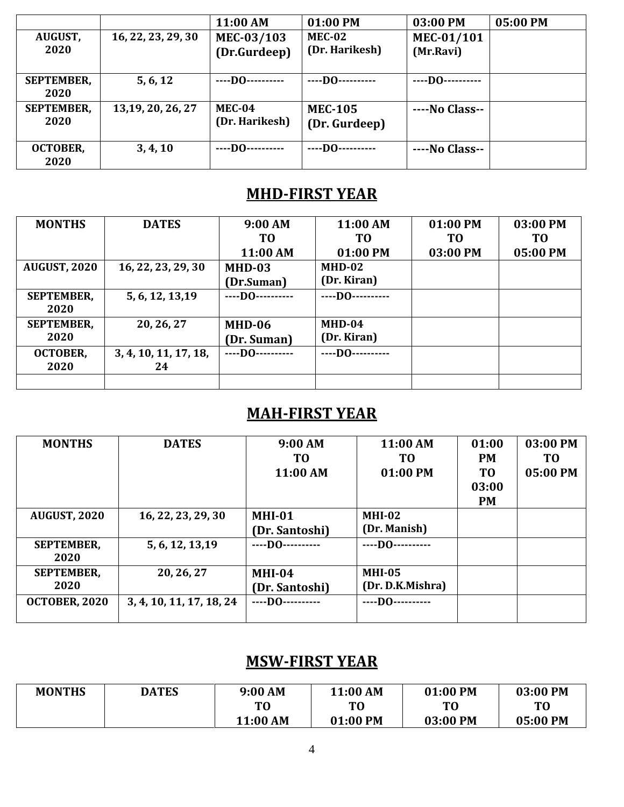|                   |                    | 11:00 AM         | 01:00 PM            | 03:00 PM       | 05:00 PM |
|-------------------|--------------------|------------------|---------------------|----------------|----------|
| <b>AUGUST,</b>    | 16, 22, 23, 29, 30 | MEC-03/103       | <b>MEC-02</b>       | MEC-01/101     |          |
| 2020              |                    | (Dr.Gurdeep)     | (Dr. Harikesh)      | (Mr.Ravi)      |          |
|                   |                    |                  |                     |                |          |
| <b>SEPTEMBER,</b> | 5, 6, 12           | ----DO---------- | $---$ DO $---$      | $---$ DO $---$ |          |
| 2020              |                    |                  |                     |                |          |
| <b>SEPTEMBER,</b> | 13, 19, 20, 26, 27 | MEC-04           | <b>MEC-105</b>      | ----No Class-- |          |
| 2020              |                    | (Dr. Harikesh)   | (Dr. Gurdeep)       |                |          |
|                   |                    |                  |                     |                |          |
| <b>OCTOBER,</b>   | 3, 4, 10           | $---DO-$<br>     | $---$ DO ---------- | ----No Class-- |          |
| 2020              |                    |                  |                     |                |          |

# **MHD-FIRST YEAR**

| <b>MONTHS</b>       | <b>DATES</b>          | 9:00 AM          | 11:00 AM       | 01:00 PM | 03:00 PM       |
|---------------------|-----------------------|------------------|----------------|----------|----------------|
|                     |                       | T <sub>0</sub>   | T0             | TO       | T <sub>0</sub> |
|                     |                       | 11:00 AM         | 01:00 PM       | 03:00 PM | 05:00 PM       |
| <b>AUGUST, 2020</b> | 16, 22, 23, 29, 30    | $MHD-03$         | $MHD-02$       |          |                |
|                     |                       | (Dr.Suman)       | (Dr. Kiran)    |          |                |
| <b>SEPTEMBER,</b>   | 5, 6, 12, 13, 19      | $---$ DO $---$   | $---$ DO $---$ |          |                |
| 2020                |                       |                  |                |          |                |
| <b>SEPTEMBER,</b>   | 20, 26, 27            | MHD-06           | $MHD-04$       |          |                |
| 2020                |                       | (Dr. Suman)      | (Dr. Kiran)    |          |                |
| <b>OCTOBER,</b>     | 3, 4, 10, 11, 17, 18, | ----DO---------- | $---$ DO $---$ |          |                |
| 2020                | 24                    |                  |                |          |                |
|                     |                       |                  |                |          |                |

# **MAH-FIRST YEAR**

| <b>MONTHS</b>        | <b>DATES</b>             | 9:00 AM        | 11:00 AM         | 01:00          | 03:00 PM       |
|----------------------|--------------------------|----------------|------------------|----------------|----------------|
|                      |                          | T0             | TО               | <b>PM</b>      | T <sub>0</sub> |
|                      |                          | 11:00 AM       | 01:00 PM         | T <sub>0</sub> | 05:00 PM       |
|                      |                          |                |                  | 03:00          |                |
|                      |                          |                |                  | <b>PM</b>      |                |
| <b>AUGUST, 2020</b>  | 16, 22, 23, 29, 30       | $MHI-01$       | $MHI-02$         |                |                |
|                      |                          | (Dr. Santoshi) | (Dr. Manish)     |                |                |
| <b>SEPTEMBER,</b>    | 5, 6, 12, 13, 19         | $---$ DO $---$ | $---$ DO $---$   |                |                |
| 2020                 |                          |                |                  |                |                |
| <b>SEPTEMBER,</b>    | 20, 26, 27               | <b>MHI-04</b>  | <b>MHI-05</b>    |                |                |
| 2020                 |                          | (Dr. Santoshi) | (Dr. D.K.Mishra) |                |                |
| <b>OCTOBER, 2020</b> | 3, 4, 10, 11, 17, 18, 24 | $---$ DO $---$ | $---$ DO $---$   |                |                |
|                      |                          |                |                  |                |                |

# **MSW-FIRST YEAR**

| <b>MONTHS</b> | <b>DATES</b> | 9:00 AM  | 11:00 AM | 01:00 PM       | 03:00 PM       |
|---------------|--------------|----------|----------|----------------|----------------|
|               |              | T0       | T0       | T <sub>0</sub> | T <sub>0</sub> |
|               |              | 11:00 AM | 01:00 PM | 03:00 PM       | 05:00 PM       |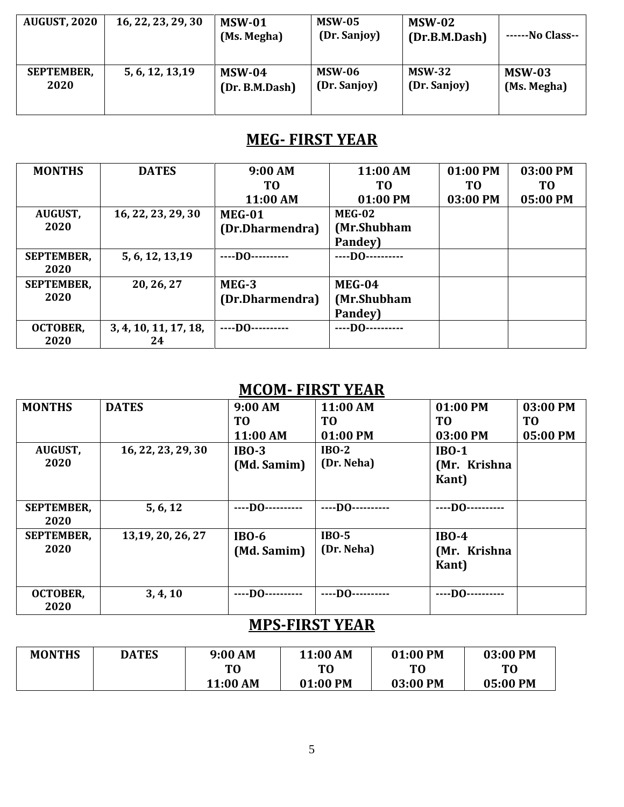| <b>AUGUST, 2020</b> | 16, 22, 23, 29, 30 | <b>MSW-01</b><br>(Ms. Megha) | <b>MSW-05</b><br>(Dr. Sanjoy) | <b>MSW-02</b><br>(Dr.B.M.Dash) | -No Class-- |
|---------------------|--------------------|------------------------------|-------------------------------|--------------------------------|-------------|
| <b>SEPTEMBER,</b>   | 5, 6, 12, 13, 19   | <b>MSW-04</b>                | <b>MSW-06</b>                 | <b>MSW-32</b>                  | $MSW-03$    |
| 2020                |                    | (Dr. B.M.Dash)               | (Dr. Sanjoy)                  | (Dr. Sanjoy)                   | (Ms. Megha) |

# **MEG- FIRST YEAR**

| <b>MONTHS</b>     | <b>DATES</b>          | 9:00 AM             | 11:00 AM       | 01:00 PM       | 03:00 PM       |
|-------------------|-----------------------|---------------------|----------------|----------------|----------------|
|                   |                       | TO                  | T0             | T <sub>0</sub> | T <sub>0</sub> |
|                   |                       | 11:00 AM            | 01:00 PM       | 03:00 PM       | 05:00 PM       |
| <b>AUGUST,</b>    | 16, 22, 23, 29, 30    | MEG-01              | <b>MEG-02</b>  |                |                |
| 2020              |                       | (Dr.Dharmendra)     | (Mr.Shubham    |                |                |
|                   |                       |                     | Pandey)        |                |                |
| <b>SEPTEMBER,</b> | 5, 6, 12, 13, 19      | $---$ DO ---------- | $---$ DO $---$ |                |                |
| 2020              |                       |                     |                |                |                |
| <b>SEPTEMBER,</b> | 20, 26, 27            | $MEG-3$             | MEG-04         |                |                |
| 2020              |                       | (Dr.Dharmendra)     | (Mr.Shubham    |                |                |
|                   |                       |                     | Pandey)        |                |                |
| <b>OCTOBER,</b>   | 3, 4, 10, 11, 17, 18, | $---$ DO $---$      | $---$ DO $---$ |                |                |
| 2020              | 24                    |                     |                |                |                |

#### **MCOM- FIRST YEAR**

| <b>MONTHS</b>     | <b>DATES</b>       | 9:00 AM          | 11:00 AM       | 01:00 PM       | 03:00 PM       |
|-------------------|--------------------|------------------|----------------|----------------|----------------|
|                   |                    | TO               | T <sub>0</sub> | T <sub>0</sub> | T <sub>0</sub> |
|                   |                    | 11:00 AM         | 01:00 PM       | 03:00 PM       | 05:00 PM       |
| AUGUST,           | 16, 22, 23, 29, 30 | $IBO-3$          | $IBO-2$        | $IBO-1$        |                |
| 2020              |                    | (Md. Samim)      | (Dr. Neha)     | (Mr. Krishna   |                |
|                   |                    |                  |                | <b>Kant</b> )  |                |
|                   |                    |                  |                |                |                |
| <b>SEPTEMBER,</b> | 5, 6, 12           | ----D0---------- |                | $---$ DO $---$ |                |
| 2020              |                    |                  |                |                |                |
| <b>SEPTEMBER,</b> | 13, 19, 20, 26, 27 | $IBO-6$          | $IBO-5$        | $IBO-4$        |                |
| 2020              |                    | (Md. Samim)      | (Dr. Neha)     | (Mr. Krishna   |                |
|                   |                    |                  |                | Kant)          |                |
|                   |                    |                  |                |                |                |
| <b>OCTOBER,</b>   | 3, 4, 10           | ----D0---------- | $---$ DO $---$ | $---DO-$       |                |
| 2020              |                    |                  |                |                |                |

# **MPS-FIRST YEAR**

| <b>MONTHS</b> | <b>DATES</b> | 9:00 AM        | 11:00 AM | 01:00 PM       | 03:00 PM       |
|---------------|--------------|----------------|----------|----------------|----------------|
|               |              | T <sub>0</sub> | TO       | T <sub>0</sub> | T <sub>0</sub> |
|               |              | 11:00 AM       | 01:00 PM | 03:00 PM       | 05:00 PM       |